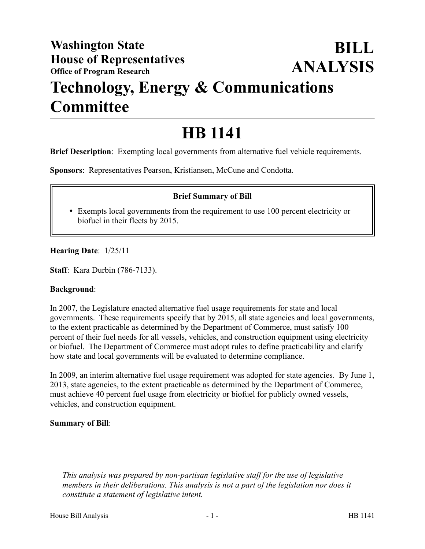## **Technology, Energy & Communications Committee**

# **HB 1141**

**Brief Description**: Exempting local governments from alternative fuel vehicle requirements.

**Sponsors**: Representatives Pearson, Kristiansen, McCune and Condotta.

### **Brief Summary of Bill**

 Exempts local governments from the requirement to use 100 percent electricity or biofuel in their fleets by 2015.

**Hearing Date**: 1/25/11

**Staff**: Kara Durbin (786-7133).

#### **Background**:

In 2007, the Legislature enacted alternative fuel usage requirements for state and local governments. These requirements specify that by 2015, all state agencies and local governments, to the extent practicable as determined by the Department of Commerce, must satisfy 100 percent of their fuel needs for all vessels, vehicles, and construction equipment using electricity or biofuel. The Department of Commerce must adopt rules to define practicability and clarify how state and local governments will be evaluated to determine compliance.

In 2009, an interim alternative fuel usage requirement was adopted for state agencies. By June 1, 2013, state agencies, to the extent practicable as determined by the Department of Commerce, must achieve 40 percent fuel usage from electricity or biofuel for publicly owned vessels, vehicles, and construction equipment.

#### **Summary of Bill**:

––––––––––––––––––––––

*This analysis was prepared by non-partisan legislative staff for the use of legislative members in their deliberations. This analysis is not a part of the legislation nor does it constitute a statement of legislative intent.*